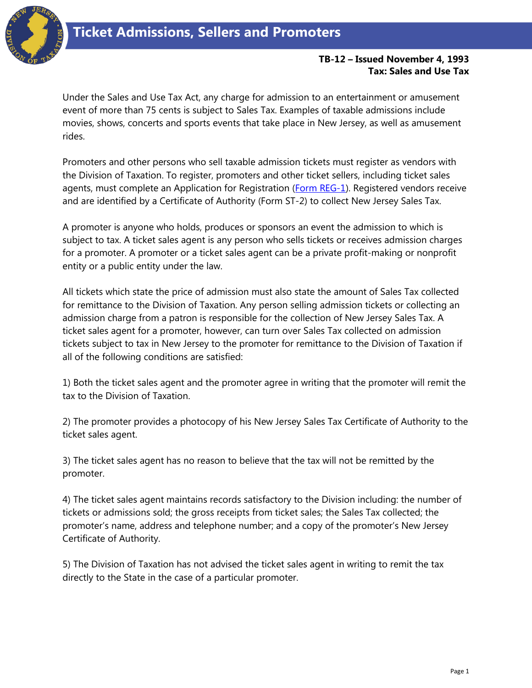

## **TB-12 – Issued November 4, 1993 Tax: Sales and Use Tax**

Under the Sales and Use Tax Act, any charge for admission to an entertainment or amusement event of more than 75 cents is subject to Sales Tax. Examples of taxable admissions include movies, shows, concerts and sports events that take place in New Jersey, as well as amusement rides.

Promoters and other persons who sell taxable admission tickets must register as vendors with the Division of Taxation. To register, promoters and other ticket sellers, including ticket sales agents, must complete an Application for Registration [\(Form REG-1\)](http://www.state.nj.us/treasury/revenue/revprnt.shtml). Registered vendors receive and are identified by a Certificate of Authority (Form ST-2) to collect New Jersey Sales Tax.

A promoter is anyone who holds, produces or sponsors an event the admission to which is subject to tax. A ticket sales agent is any person who sells tickets or receives admission charges for a promoter. A promoter or a ticket sales agent can be a private profit-making or nonprofit entity or a public entity under the law.

All tickets which state the price of admission must also state the amount of Sales Tax collected for remittance to the Division of Taxation. Any person selling admission tickets or collecting an admission charge from a patron is responsible for the collection of New Jersey Sales Tax. A ticket sales agent for a promoter, however, can turn over Sales Tax collected on admission tickets subject to tax in New Jersey to the promoter for remittance to the Division of Taxation if all of the following conditions are satisfied:

1) Both the ticket sales agent and the promoter agree in writing that the promoter will remit the tax to the Division of Taxation.

2) The promoter provides a photocopy of his New Jersey Sales Tax Certificate of Authority to the ticket sales agent.

3) The ticket sales agent has no reason to believe that the tax will not be remitted by the promoter.

4) The ticket sales agent maintains records satisfactory to the Division including: the number of tickets or admissions sold; the gross receipts from ticket sales; the Sales Tax collected; the promoter's name, address and telephone number; and a copy of the promoter's New Jersey Certificate of Authority.

5) The Division of Taxation has not advised the ticket sales agent in writing to remit the tax directly to the State in the case of a particular promoter.